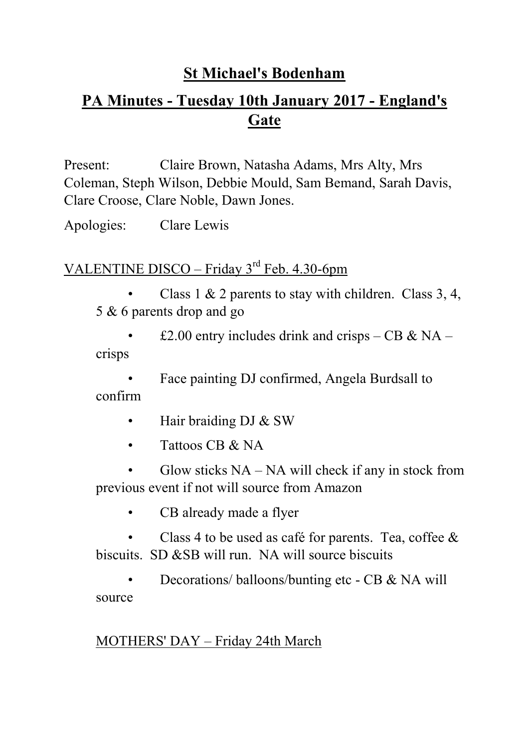# **St Michael's Bodenham**

# **PA Minutes - Tuesday 10th January 2017 - England's Gate**

Present: Claire Brown, Natasha Adams, Mrs Alty, Mrs Coleman, Steph Wilson, Debbie Mould, Sam Bemand, Sarah Davis, Clare Croose, Clare Noble, Dawn Jones.

Apologies: Clare Lewis

# VALENTINE DISCO – Friday  $3<sup>rd</sup>$  Feb. 4.30-6pm

Class 1  $\&$  2 parents to stay with children. Class 3, 4, 5 & 6 parents drop and go

£2.00 entry includes drink and crisps – CB & NA – crisps

• Face painting DJ confirmed, Angela Burdsall to confirm

- Hair braiding DJ & SW
- Tattoos CB & NA

Glow sticks  $NA - NA$  will check if any in stock from previous event if not will source from Amazon

CB already made a flyer

Class 4 to be used as café for parents. Tea, coffee  $\&$ biscuits. SD &SB will run. NA will source biscuits

• Decorations/balloons/bunting etc - CB & NA will source

#### MOTHERS' DAY – Friday 24th March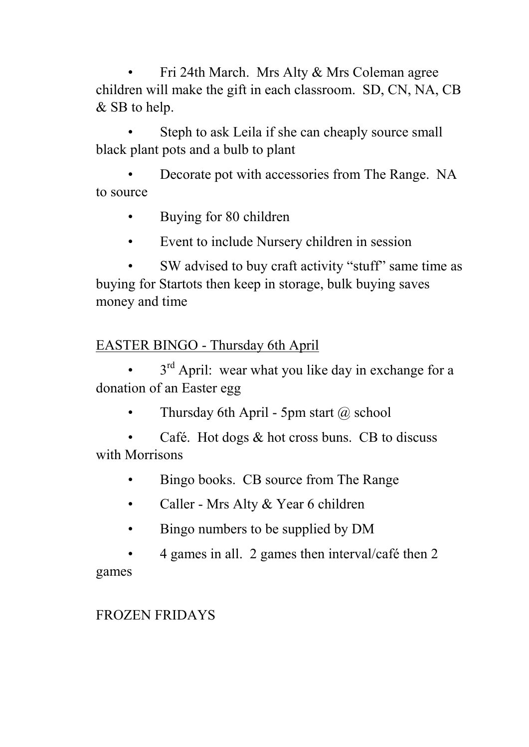• Fri 24th March. Mrs Alty & Mrs Coleman agree children will make the gift in each classroom. SD, CN, NA, CB & SB to help.

Steph to ask Leila if she can cheaply source small black plant pots and a bulb to plant

Decorate pot with accessories from The Range. NA to source

- Buying for 80 children
- Event to include Nursery children in session

• SW advised to buy craft activity "stuff" same time as buying for Startots then keep in storage, bulk buying saves money and time

# EASTER BINGO - Thursday 6th April

 $\cdot$  3<sup>rd</sup> April: wear what you like day in exchange for a donation of an Easter egg

Thursday 6th April - 5pm start  $\omega$  school

Café. Hot dogs  $&$  hot cross buns. CB to discuss with Morrisons

- Bingo books. CB source from The Range
- Caller Mrs Alty & Year 6 children
- Bingo numbers to be supplied by DM
- 4 games in all. 2 games then interval/café then 2

games

# FROZEN FRIDAYS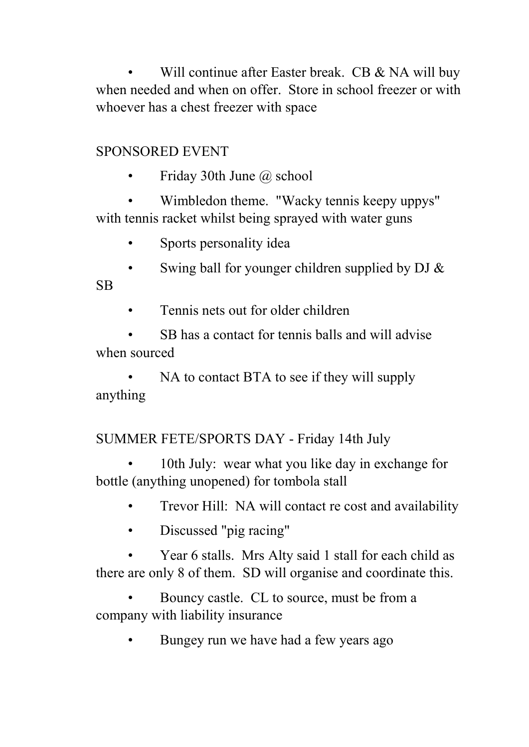Will continue after Easter break. CB & NA will buy when needed and when on offer. Store in school freezer or with whoever has a chest freezer with space

#### SPONSORED EVENT

• Friday 30th June @ school

• Wimbledon theme. "Wacky tennis keepy uppys" with tennis racket whilst being sprayed with water guns

• Sports personality idea

Swing ball for younger children supplied by DJ  $\&$ SB

• Tennis nets out for older children

SB has a contact for tennis balls and will advise when sourced

NA to contact BTA to see if they will supply anything

SUMMER FETE/SPORTS DAY - Friday 14th July

10th July: wear what you like day in exchange for bottle (anything unopened) for tombola stall

- Trevor Hill: NA will contact re cost and availability
- Discussed "pig racing"

• Year 6 stalls. Mrs Alty said 1 stall for each child as there are only 8 of them. SD will organise and coordinate this.

• Bouncy castle. CL to source, must be from a company with liability insurance

• Bungey run we have had a few years ago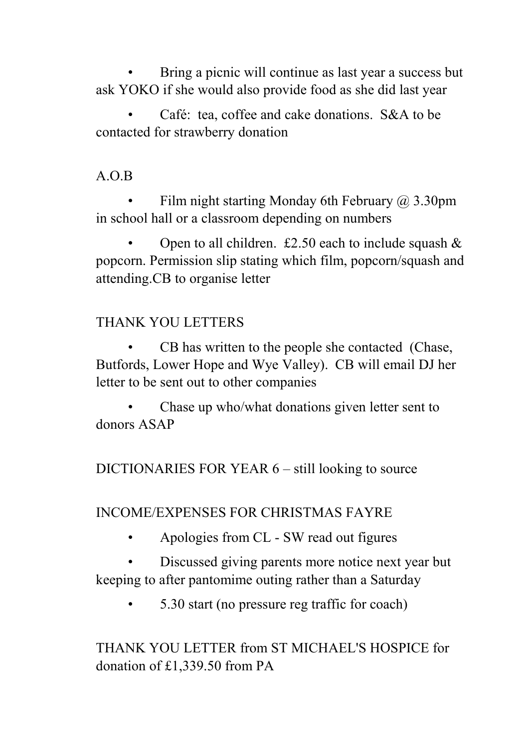Bring a picnic will continue as last year a success but ask YOKO if she would also provide food as she did last year

• Café: tea, coffee and cake donations. S&A to be contacted for strawberry donation

# A.O.B

Film night starting Monday 6th February  $\omega$  3.30pm in school hall or a classroom depending on numbers

Open to all children.  $\text{\pounds}2.50$  each to include squash  $\&$ popcorn. Permission slip stating which film, popcorn/squash and attending.CB to organise letter

# THANK YOU LETTERS

• CB has written to the people she contacted (Chase, Butfords, Lower Hope and Wye Valley). CB will email DJ her letter to be sent out to other companies

Chase up who/what donations given letter sent to donors ASAP

DICTIONARIES FOR YEAR 6 – still looking to source

INCOME/EXPENSES FOR CHRISTMAS FAYRE

• Apologies from CL - SW read out figures

• Discussed giving parents more notice next year but keeping to after pantomime outing rather than a Saturday

• 5.30 start (no pressure reg traffic for coach)

THANK YOU LETTER from ST MICHAEL'S HOSPICE for donation of £1,339.50 from PA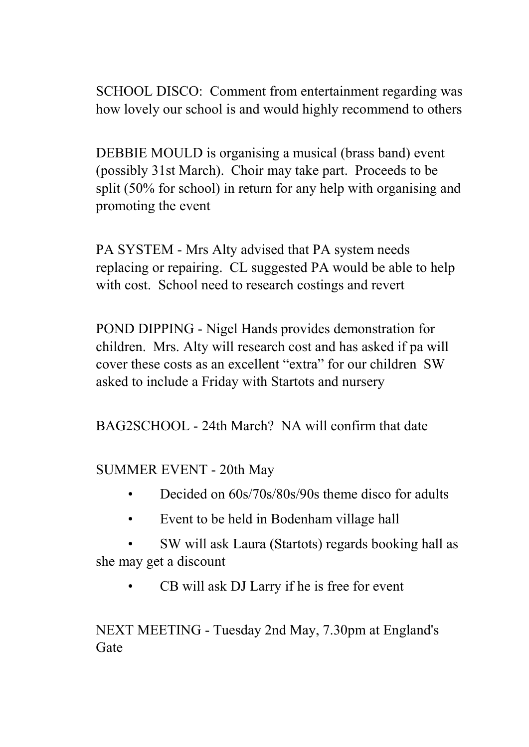SCHOOL DISCO: Comment from entertainment regarding was how lovely our school is and would highly recommend to others

DEBBIE MOULD is organising a musical (brass band) event (possibly 31st March). Choir may take part. Proceeds to be split (50% for school) in return for any help with organising and promoting the event

PA SYSTEM - Mrs Alty advised that PA system needs replacing or repairing. CL suggested PA would be able to help with cost. School need to research costings and revert

POND DIPPING - Nigel Hands provides demonstration for children. Mrs. Alty will research cost and has asked if pa will cover these costs as an excellent "extra" for our children SW asked to include a Friday with Startots and nursery

BAG2SCHOOL - 24th March? NA will confirm that date

SUMMER EVENT - 20th May

- Decided on 60s/70s/80s/90s theme disco for adults
- Event to be held in Bodenham village hall
- SW will ask Laura (Startots) regards booking hall as she may get a discount
	- CB will ask DJ Larry if he is free for event

NEXT MEETING - Tuesday 2nd May, 7.30pm at England's Gate